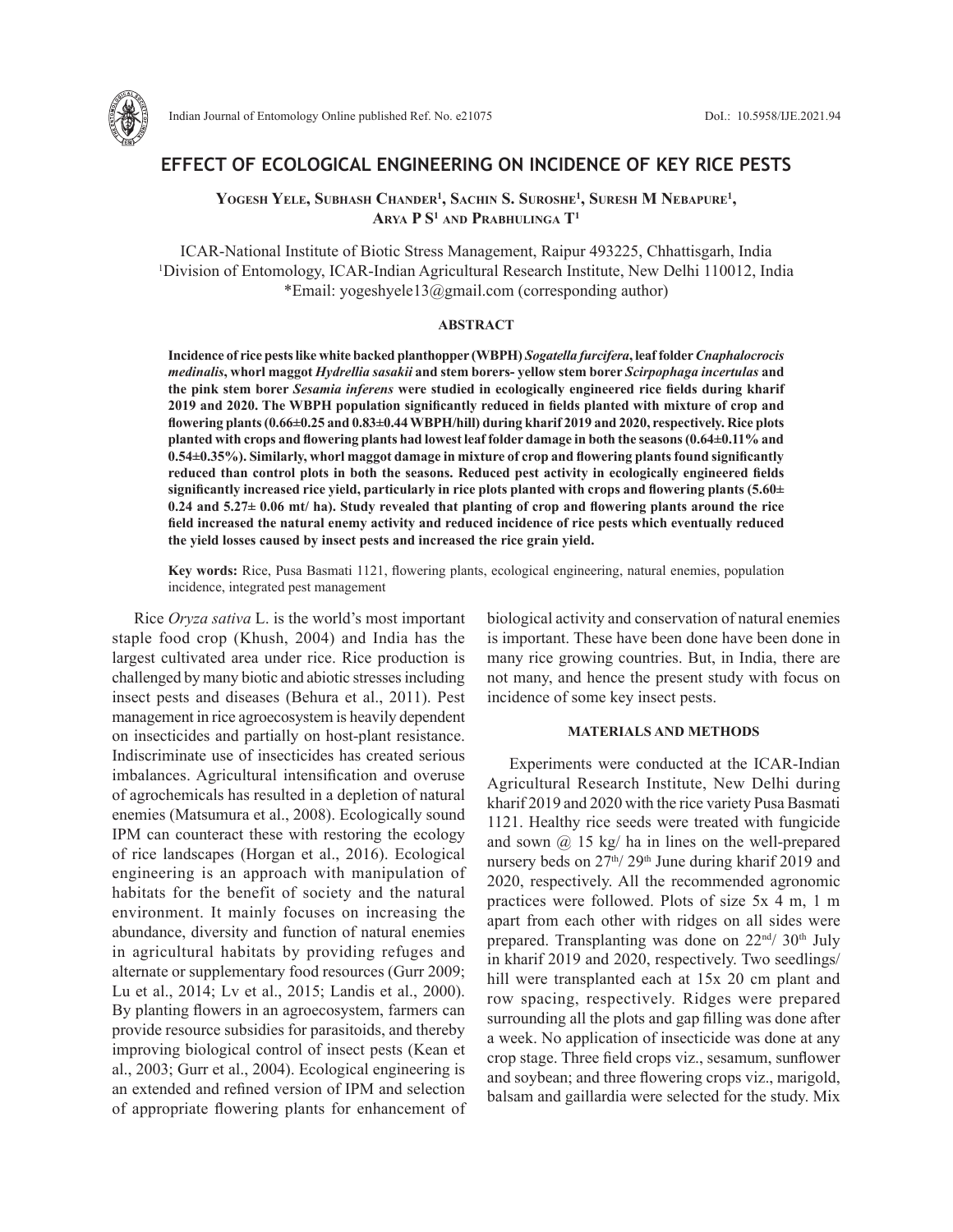

# **EFFECT OF ECOLOGICAL ENGINEERING ON INCIDENCE OF KEY RICE PESTS**

YOGESH YELE, SUBHASH CHANDER<sup>1</sup>, SACHIN S. SUROSHE<sup>1</sup>, SURESH M NEBAPURE<sup>1</sup>, **Arya P S1 and Prabhulinga T1**

ICAR-National Institute of Biotic Stress Management, Raipur 493225, Chhattisgarh, India 1 Division of Entomology, ICAR-Indian Agricultural Research Institute, New Delhi 110012, India \*Email: yogeshyele13@gmail.com (corresponding author)

# **ABSTRACT**

**Incidence of rice pests like white backed planthopper (WBPH)** *Sogatella furcifera***, leaf folder** *Cnaphalocrocis medinalis***, whorl maggot** *Hydrellia sasakii* **and stem borers- yellow stem borer** *Scirpophaga incertulas* **and the pink stem borer** *Sesamia inferens* **were studied in ecologically engineered rice fields during kharif 2019 and 2020. The WBPH population significantly reduced in fields planted with mixture of crop and flowering plants (0.66±0.25 and 0.83±0.44 WBPH/hill) during kharif 2019 and 2020, respectively. Rice plots planted with crops and flowering plants had lowest leaf folder damage in both the seasons (0.64±0.11% and 0.54±0.35%). Similarly, whorl maggot damage in mixture of crop and flowering plants found significantly reduced than control plots in both the seasons. Reduced pest activity in ecologically engineered fields significantly increased rice yield, particularly in rice plots planted with crops and flowering plants (5.60± 0.24 and 5.27± 0.06 mt/ ha). Study revealed that planting of crop and flowering plants around the rice field increased the natural enemy activity and reduced incidence of rice pests which eventually reduced the yield losses caused by insect pests and increased the rice grain yield.** 

**Key words:** Rice, Pusa Basmati 1121, flowering plants, ecological engineering, natural enemies, population incidence, integrated pest management

Rice *Oryza sativa* L. is the world's most important staple food crop (Khush, 2004) and India has the largest cultivated area under rice. Rice production is challenged by many biotic and abiotic stresses including insect pests and diseases (Behura et al., 2011). Pest management in rice agroecosystem is heavily dependent on insecticides and partially on host-plant resistance. Indiscriminate use of insecticides has created serious imbalances. Agricultural intensification and overuse of agrochemicals has resulted in a depletion of natural enemies (Matsumura et al., 2008). Ecologically sound IPM can counteract these with restoring the ecology of rice landscapes (Horgan et al., 2016). Ecological engineering is an approach with manipulation of habitats for the benefit of society and the natural environment. It mainly focuses on increasing the abundance, diversity and function of natural enemies in agricultural habitats by providing refuges and alternate or supplementary food resources (Gurr 2009; Lu et al., 2014; Lv et al., 2015; Landis et al., 2000). By planting flowers in an agroecosystem, farmers can provide resource subsidies for parasitoids, and thereby improving biological control of insect pests (Kean et al., 2003; Gurr et al., 2004). Ecological engineering is an extended and refined version of IPM and selection of appropriate flowering plants for enhancement of biological activity and conservation of natural enemies is important. These have been done have been done in many rice growing countries. But, in India, there are not many, and hence the present study with focus on incidence of some key insect pests.

## **MATERIALS AND METHODS**

Experiments were conducted at the ICAR-Indian Agricultural Research Institute, New Delhi during kharif 2019 and 2020 with the rice variety Pusa Basmati 1121. Healthy rice seeds were treated with fungicide and sown  $\omega$  15 kg/ ha in lines on the well-prepared nursery beds on 27<sup>th</sup>/29<sup>th</sup> June during kharif 2019 and 2020, respectively. All the recommended agronomic practices were followed. Plots of size 5x 4 m, 1 m apart from each other with ridges on all sides were prepared. Transplanting was done on  $22<sup>nd</sup>/30<sup>th</sup>$  July in kharif 2019 and 2020, respectively. Two seedlings/ hill were transplanted each at 15x 20 cm plant and row spacing, respectively. Ridges were prepared surrounding all the plots and gap filling was done after a week. No application of insecticide was done at any crop stage. Three field crops viz., sesamum, sunflower and soybean; and three flowering crops viz., marigold, balsam and gaillardia were selected for the study. Mix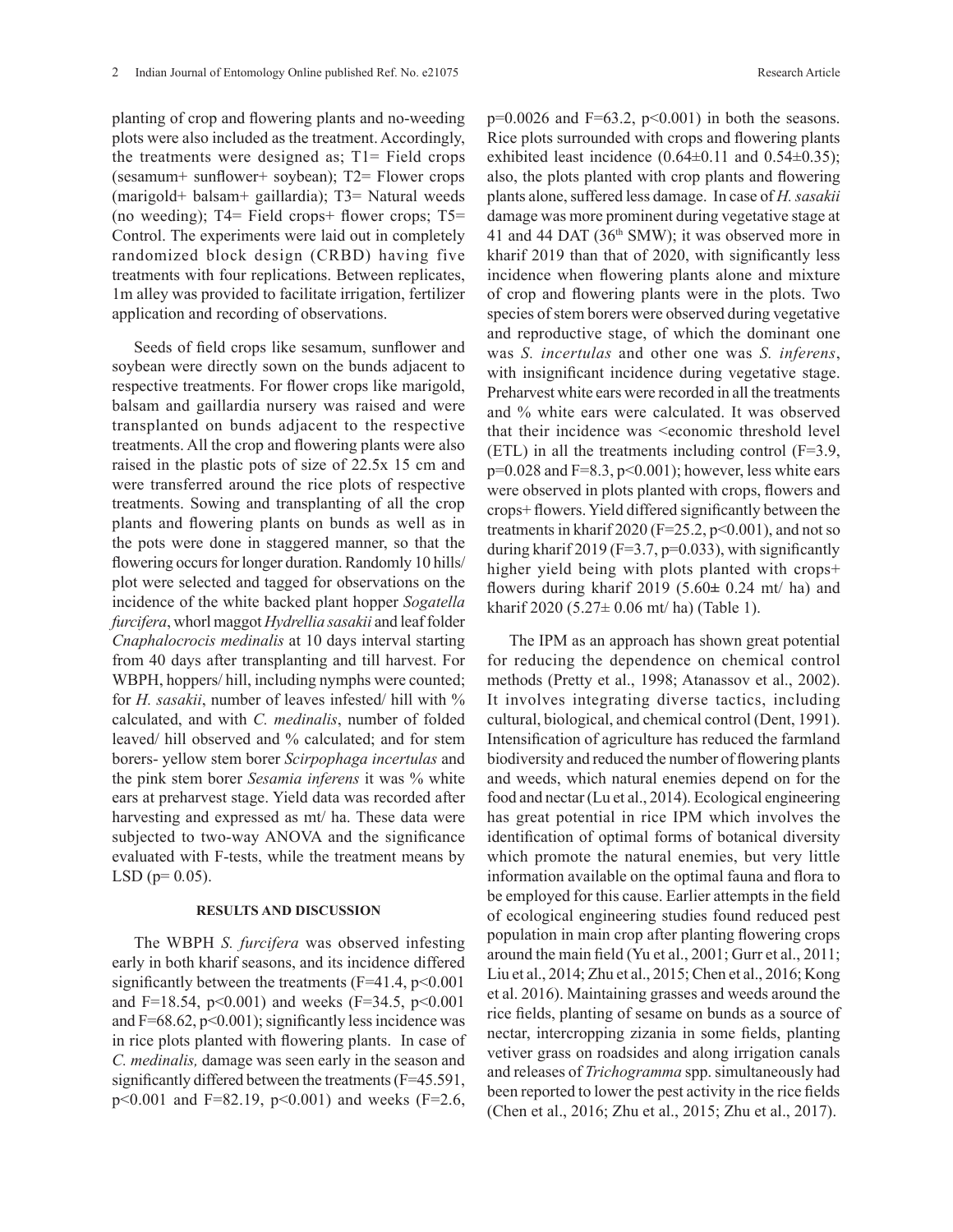planting of crop and flowering plants and no-weeding plots were also included as the treatment. Accordingly, the treatments were designed as;  $T1 =$  Field crops (sesamum+ sunflower+ soybean); T2= Flower crops (marigold+ balsam+ gaillardia); T3= Natural weeds (no weeding); T4= Field crops+ flower crops; T5= Control. The experiments were laid out in completely randomized block design (CRBD) having five treatments with four replications. Between replicates, 1m alley was provided to facilitate irrigation, fertilizer application and recording of observations.

Seeds of field crops like sesamum, sunflower and soybean were directly sown on the bunds adjacent to respective treatments. For flower crops like marigold, balsam and gaillardia nursery was raised and were transplanted on bunds adjacent to the respective treatments. All the crop and flowering plants were also raised in the plastic pots of size of 22.5x 15 cm and were transferred around the rice plots of respective treatments. Sowing and transplanting of all the crop plants and flowering plants on bunds as well as in the pots were done in staggered manner, so that the flowering occurs for longer duration. Randomly 10 hills/ plot were selected and tagged for observations on the incidence of the white backed plant hopper *Sogatella furcifera*, whorl maggot *Hydrellia sasakii* and leaf folder *Cnaphalocrocis medinalis* at 10 days interval starting from 40 days after transplanting and till harvest. For WBPH, hoppers/ hill, including nymphs were counted; for *H. sasakii*, number of leaves infested/ hill with % calculated, and with *C. medinalis*, number of folded leaved/ hill observed and % calculated; and for stem borers- yellow stem borer *Scirpophaga incertulas* and the pink stem borer *Sesamia inferens* it was % white ears at preharvest stage. Yield data was recorded after harvesting and expressed as mt/ ha. These data were subjected to two-way ANOVA and the significance evaluated with F-tests, while the treatment means by  $LSD$  ( $p= 0.05$ ).

#### **RESULTS AND DISCUSSION**

The WBPH *S. furcifera* was observed infesting early in both kharif seasons, and its incidence differed significantly between the treatments ( $F=41.4$ ,  $p<0.001$ and F=18.54,  $p<0.001$ ) and weeks (F=34.5,  $p<0.001$ ) and  $F=68.62$ ,  $p<0.001$ ); significantly less incidence was in rice plots planted with flowering plants. In case of *C. medinalis,* damage was seen early in the season and significantly differed between the treatments (F=45.591, p<0.001 and F=82.19, p<0.001) and weeks (F=2.6,  $p=0.0026$  and  $F=63.2$ ,  $p<0.001$ ) in both the seasons. Rice plots surrounded with crops and flowering plants exhibited least incidence  $(0.64\pm0.11$  and  $0.54\pm0.35)$ ; also, the plots planted with crop plants and flowering plants alone, suffered less damage. In case of *H. sasakii* damage was more prominent during vegetative stage at 41 and 44 DAT (36th SMW); it was observed more in kharif 2019 than that of 2020, with significantly less incidence when flowering plants alone and mixture of crop and flowering plants were in the plots. Two species of stem borers were observed during vegetative and reproductive stage, of which the dominant one was *S. incertulas* and other one was *S. inferens*, with insignificant incidence during vegetative stage. Preharvest white ears were recorded in all the treatments and % white ears were calculated. It was observed that their incidence was <economic threshold level (ETL) in all the treatments including control (F=3.9,  $p=0.028$  and  $F=8.3$ ,  $p<0.001$ ); however, less white ears were observed in plots planted with crops, flowers and crops+ flowers. Yield differed significantly between the treatments in kharif 2020 (F=25.2, p<0.001), and not so during kharif 2019 (F=3.7,  $p=0.033$ ), with significantly higher yield being with plots planted with crops+ flowers during kharif 2019 (5.60**±** 0.24 mt/ ha) and kharif 2020 (5.27± 0.06 mt/ ha) (Table 1).

The IPM as an approach has shown great potential for reducing the dependence on chemical control methods (Pretty et al., 1998; Atanassov et al., 2002). It involves integrating diverse tactics, including cultural, biological, and chemical control (Dent, 1991). Intensification of agriculture has reduced the farmland biodiversity and reduced the number of flowering plants and weeds, which natural enemies depend on for the food and nectar (Lu et al., 2014). Ecological engineering has great potential in rice IPM which involves the identification of optimal forms of botanical diversity which promote the natural enemies, but very little information available on the optimal fauna and flora to be employed for this cause. Earlier attempts in the field of ecological engineering studies found reduced pest population in main crop after planting flowering crops around the main field (Yu et al., 2001; Gurr et al., 2011; Liu et al., 2014; Zhu et al., 2015; Chen et al., 2016; Kong et al. 2016). Maintaining grasses and weeds around the rice fields, planting of sesame on bunds as a source of nectar, intercropping zizania in some fields, planting vetiver grass on roadsides and along irrigation canals and releases of *Trichogramma* spp. simultaneously had been reported to lower the pest activity in the rice fields (Chen et al., 2016; Zhu et al., 2015; Zhu et al., 2017).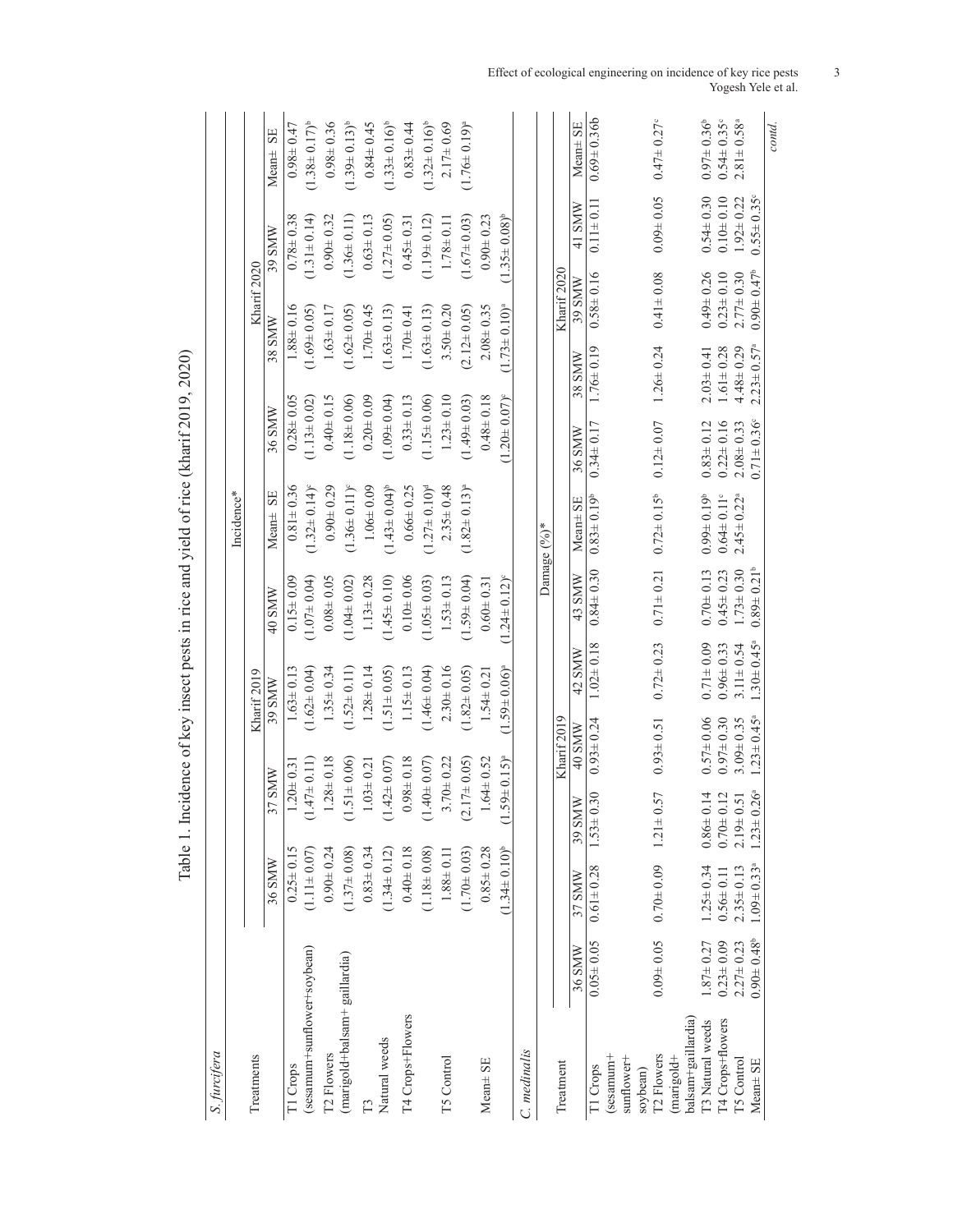| S. furcifera                     |                         |                              |                          |                 |                     |                   |                              |                              |                         |                 |                       |                              |
|----------------------------------|-------------------------|------------------------------|--------------------------|-----------------|---------------------|-------------------|------------------------------|------------------------------|-------------------------|-----------------|-----------------------|------------------------------|
|                                  |                         |                              |                          |                 |                     |                   | Incidence*                   |                              |                         |                 |                       |                              |
| Treatments                       |                         |                              |                          |                 | Kharif 2019         |                   |                              |                              |                         | Kharif 2020     |                       |                              |
|                                  |                         | 36 SMW                       | 37 SMW                   |                 | 39 SMW              | 40 SMW            | SE<br>Mean±                  | 36 SMW                       | 38 SMW                  |                 | 39 SMW                | SE<br>Mean±                  |
| T1 Crops                         |                         | $0.25 \pm 0.15$              | $.20 \pm 0.3$            |                 | $1.63 \pm 0.13$     | $0.15 \pm 0.09$   | $0.81 \pm 0.36$              | $0.28 \pm 0.05$              |                         | $1.88 \pm 0.16$ | $0.78 \pm 0.38$       | $0.98 \pm 0.47$              |
| (sesamum+sunflower+soybean)      |                         | $(1.11 \pm 0.07)$            | $\subset$                | $47\pm0.11$     | $(1.62 \pm 0.04)$   | $(1.07 \pm 0.04)$ | $(1.32 \pm 0.14)^{\circ}$    | $(1.13 \pm 0.02)$            | $(1.69 \pm 0.05)$       |                 | $(1.31 \pm 0.14)$     | $(1.38 \pm 0.17)^{b}$        |
| T <sub>2</sub> Flowers           |                         | $0.90 + 0.24$                |                          | $1.28 \pm 0.18$ | $1.35 \pm 0.34$     | $0.08 \pm 0.05$   | $0.90 \pm 0.29$              | $0.40 \pm 0.15$              |                         | $1.63 \pm 0.17$ | $0.90 \pm 0.32$       | $0.98 \pm 0.36$              |
| (marigold+balsam+ gaillardia)    |                         | $(1.37 \pm 0.08)$            | $\overline{\phantom{0}}$ | $.51 \pm 0.06$  | $(1.52 \pm 0.11)$   | $(1.04 \pm 0.02)$ | $(1.36 \pm 0.11)^{6}$        | $(1.18 \pm 0.06)$            | $(1.62 \pm 0.05)$       |                 | $(1.36 \pm 0.11)$     | $(1.39 \pm 0.13)^{b}$        |
| Ë                                |                         | $0.83 \pm 0.34$              | $1.03 \pm 0.21$          |                 | $1.28 \pm 0.14$     | $1.13 \pm 0.28$   | $1.06 \pm 0.09$              | $0.20 \pm 0.09$              |                         | $1.70 \pm 0.45$ | $0.63 \pm 0.13$       | $0.84 \pm 0.45$              |
| Natural weeds                    |                         | $(1.34 \pm 0.12)$            | $(1.42 \pm 0.07)$        |                 | $(1.51 \pm 0.05)$   | $(1.45 \pm 0.10)$ | $(1.43 \pm 0.04)^{b}$        | $(1.09 \pm 0.04)$            | $(1.63 \pm 0.13)$       |                 | $(1.27 \pm 0.05)$     | $(1.33 \pm 0.16)^{b}$        |
| T4 Crops+Flowers                 |                         | $0.40 \pm 0.18$              |                          | $0.98 \pm 0.18$ | $1.15 \pm 0.13$     | $0.10 + 0.06$     | $0.66 \pm 0.25$              | $0.33 \pm 0.13$              |                         | $1.70 \pm 0.41$ | $0.45 \pm 0.31$       | $0.83 \pm 0.44$              |
|                                  |                         | $(1.18 \pm 0.08)$            | C.                       | $40 \pm 0.07$   | $(1.46 \pm 0.04)$   | $(1.05 \pm 0.03)$ | $(1.27 \pm 0.10)^d$          | $(1.15 \pm 0.06)$            | $(1.63 \pm 0.13)$       |                 | $(1.19 \pm 0.12)$     | $(1.32 \pm 0.16)^{b}$        |
| <b>T5 Control</b>                |                         | $1.88 \pm 0.11$              |                          | $3.70 + 0.22$   | $2.30 \pm 0.16$     | $1.53 \pm 0.13$   | $2.35 \pm 0.48$              | $1.23 \pm 0.10$              |                         | $3.50 \pm 0.20$ | $1.78 \pm 0.11$       | $2.17 \pm 0.69$              |
|                                  |                         | $(1.70 \pm 0.03)$            | $(2.17 \pm 0.05)$        |                 | $(1.82 \pm 0.05)$   | $(1.59 \pm 0.04)$ | $(1.82 \pm 0.13)^{8}$        | $(1.49 \pm 0.03)$            | $(2.12 \pm 0.05)$       |                 | $(1.67 \pm 0.03)$     | $(1.76 \pm 0.19)^a$          |
| Mean± SE                         |                         | $0.85 \pm 0.28$              |                          | $1.64 \pm 0.52$ | $1.54 \pm 0.21$     | $0.60 \pm 0.31$   |                              | $0.48 \pm 0.18$              |                         | $2.08 \pm 0.35$ | $0.90 + 0.23$         |                              |
|                                  |                         | $(1.34 \pm 0.10)^{b}$        | $(1.59 \pm 0.15)^{a}$    |                 | $(1.59 \pm 0.06)^a$ | $(1.24 \pm 0.12)$ |                              | $1.20 \pm 0.07$ <sup>e</sup> | $(1.73 \pm 0.10)^a$     |                 | $(1.35 \pm 0.08)^{b}$ |                              |
| C. medinalis                     |                         |                              |                          |                 |                     |                   |                              |                              |                         |                 |                       |                              |
|                                  |                         |                              |                          |                 |                     |                   | Damage $(^{9}_{0})^*$        |                              |                         |                 |                       |                              |
| Treatment                        |                         |                              |                          | Kharif 2019     |                     |                   |                              |                              |                         | Kharif 2020     |                       |                              |
|                                  | 36 SMW                  | 37 SMW                       | 39 SMW                   | 40 SMW          | 42 SMW              | 43 SMW            | Mean± SE                     | 36 SMW                       | 38 SMW                  | 39 SMW          | 41 SMW                | Mean± SE                     |
| T1 Crops                         | $0.05 \pm 0.05$         | $0.61 \pm 0.28$              | $1.53 \pm 0.30$          | $0.93 \pm 0.24$ | $1.02 \pm 0.18$     | $0.84 \pm 0.30$   | $0.83 \pm 0.19^{\circ}$      | $0.34 \pm 0.17$              | $1.76 \pm 0.19$         | $0.58 \pm 0.16$ | $0.11 \pm 0.11$       | $0.69 \pm 0.36$              |
| sesamum <sup>+</sup>             |                         |                              |                          |                 |                     |                   |                              |                              |                         |                 |                       |                              |
| sunflower+<br>soybean)           |                         |                              |                          |                 |                     |                   |                              |                              |                         |                 |                       |                              |
| T <sub>2</sub> Flowers           | $0.09 \pm 0.05$         | $0.70 + 0.09$                | 57<br>$1.21 \pm 0$       | $0.93 \pm 0.51$ | $0.72 \pm 0.23$     | $0.71 \pm 0.21$   | $0.72 \pm 0.15^b$            | $0.12 \pm 0.07$              | $1.26 \pm 0.24$         | $0.41 \pm 0.08$ | $0.09 \pm 0.05$       | $0.47 \pm 0.27$ <sup>c</sup> |
| balsam+gaillardia)<br>(marigold+ |                         |                              |                          |                 |                     |                   |                              |                              |                         |                 |                       |                              |
| T3 Natural weeds                 | $1.87 \pm 0.27$         | $1.25 \pm 0.34$              | $0.86 \pm 0.14$          | $0.57 = 0.06$   | $0.71 \pm 0.09$     | $0.70 \pm 0.13$   | $0.99 \pm 0.19^{\circ}$      | $0.83 \pm 0.12$              | $2.03 \pm 0.41$         | $0.49 \pm 0.26$ | $0.54 \pm 0.30$       | $0.97 \pm 0.36$ <sup>b</sup> |
| T4 Crops+flowers                 | $0.23 \pm 0.09$         | $0.56 \pm 0.11$              | $0.70 \pm 0.12$          | $0.97 \pm 0.30$ | $0.96 \pm 0.33$     | $0.45 \pm 0.23$   | $0.64 \pm 0.11$ <sup>c</sup> | $0.22 \pm 0.16$              | $1.61 \pm 0.28$         | $0.23 \pm 0.10$ | $0.10 + 0.10$         | $0.54 \pm 0.35$ °            |
| T5 Control                       | $2.27 \pm 0.23$         | $2.35 \pm 0.13$              | $2.19 \pm 0.51$          | $3.09 \pm 0.35$ | $3.11 \pm 0.54$     | $1.73 \pm 0.30$   | $2.45 \pm 0.22$ <sup>a</sup> | $2.08 + 0.33$                | $4.48 + 0.29$           | $2.77 \pm 0.30$ | $1.92 \pm 0.22$       | $2.81 \pm 0.58$              |
| Mean± SE                         | $0.90 \pm 0.48^{\circ}$ | $1.09 \pm 0.33$ <sup>a</sup> | $1.23 \pm 0.26$          | $1.23 \pm 0.45$ | $1.30 \pm 0.45$     | $0.89 \pm 0.21$   |                              | $0.71 \pm 0.36$              | $2.23 \pm 0.57^{\circ}$ | $0.90 \pm 0.47$ | $0.55 \pm 0.35$       |                              |
|                                  |                         |                              |                          |                 |                     |                   |                              |                              |                         |                 |                       | contd.                       |

Table 1. Incidence of key insect pests in rice and yield of rice (kharif 2019, 2020) Table 1. Incidence of key insect pests in rice and yield of rice (kharif 2019, 2020)

Effect of ecological engineering on incidence of key rice pests Yogesh Yele et al.

3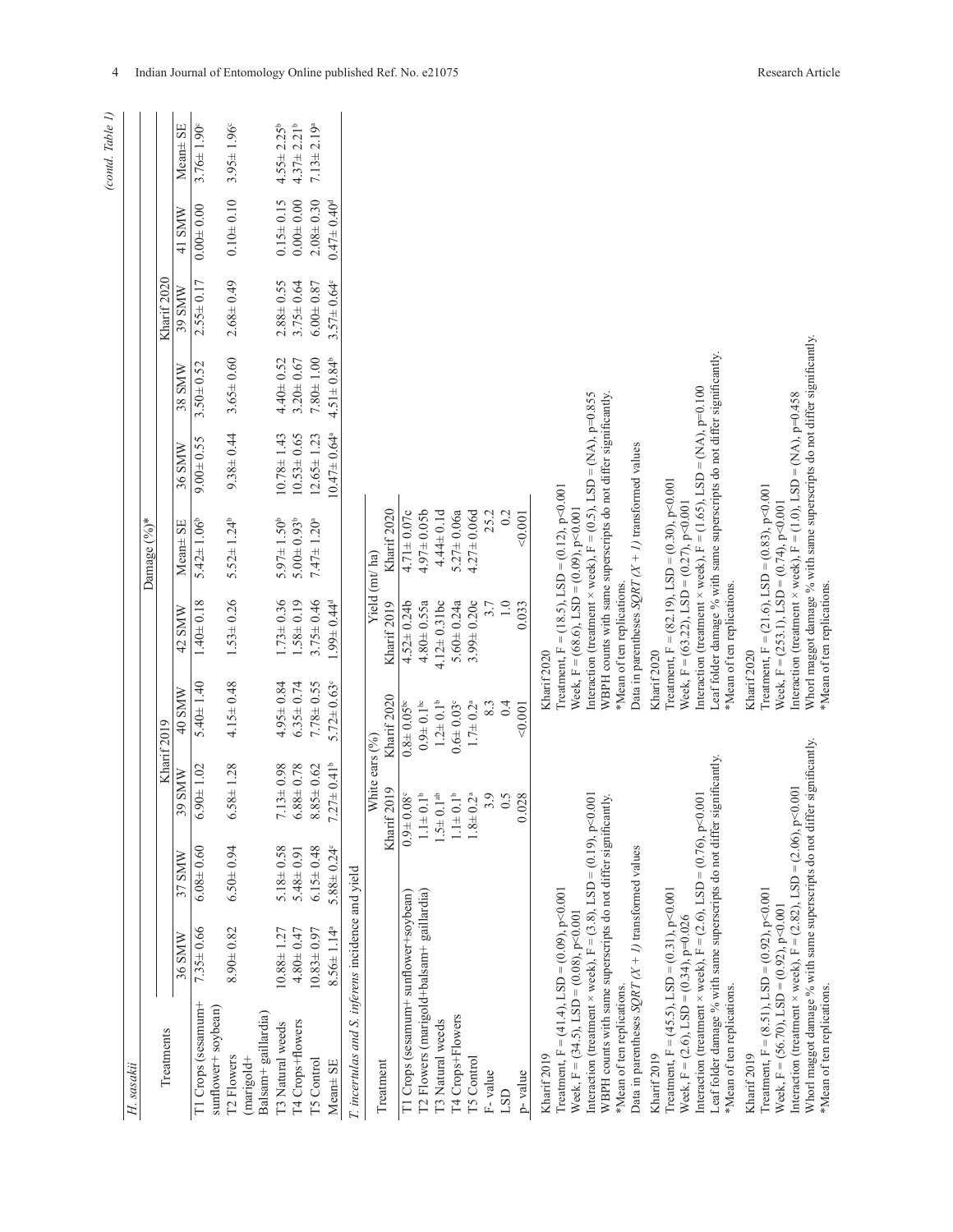|                        |             | Mean <sup>±</sup> SE<br>41 SMW | $3.76 \pm 1.90^{\circ}$<br>$0.00 + 0.00$  | $3.95 \pm 1.96^{\circ}$<br>$0.10 + 0.10$                    | $4.55 \pm 2.25^{\circ}$<br>$0.15 \pm 0.15$ | $4.37 \pm 2.21$ <sup>b</sup><br>$0.00 + 0.00$ | $7.13 \pm 2.19^a$<br>$2.08 + 0.30$<br>$0.47 \pm 0.40^d$ |                                                   |                               |                                       |                                          |                             |                             |                                |         |         |                       |                                                                                                                                                                                                                                                                                                                                                                                                                                                                                                                                                                                                                                                                                                                                                                                                                                                                                                                                                 |
|------------------------|-------------|--------------------------------|-------------------------------------------|-------------------------------------------------------------|--------------------------------------------|-----------------------------------------------|---------------------------------------------------------|---------------------------------------------------|-------------------------------|---------------------------------------|------------------------------------------|-----------------------------|-----------------------------|--------------------------------|---------|---------|-----------------------|-------------------------------------------------------------------------------------------------------------------------------------------------------------------------------------------------------------------------------------------------------------------------------------------------------------------------------------------------------------------------------------------------------------------------------------------------------------------------------------------------------------------------------------------------------------------------------------------------------------------------------------------------------------------------------------------------------------------------------------------------------------------------------------------------------------------------------------------------------------------------------------------------------------------------------------------------|
|                        | Kharif 2020 | 39 SMW                         | $2.55 \pm 0.17$                           | $2.68 \pm 0.49$                                             | $2.88 \pm 0.55$                            | $3.75 \pm 0.64$                               | $6.00 \pm 0.87$<br>$3.57 \pm 0.64$ °                    |                                                   |                               |                                       |                                          |                             |                             |                                |         |         |                       |                                                                                                                                                                                                                                                                                                                                                                                                                                                                                                                                                                                                                                                                                                                                                                                                                                                                                                                                                 |
|                        |             | 38 SMW                         | $3.50 \pm 0.52$                           | $3.65 \pm 0.60$                                             | $4.40 \pm 0.52$                            | $3.20 \pm 0.67$                               | $7.80 + 1.00$<br>$4.51 \pm 0.84$ <sup>b</sup>           |                                                   |                               |                                       |                                          |                             |                             |                                |         |         |                       | Whorl maggot damage % with same superscripts do not differ significantly.                                                                                                                                                                                                                                                                                                                                                                                                                                                                                                                                                                                                                                                                                                                                                                                                                                                                       |
|                        |             | 36 SMW                         | $9.00 \pm 0.55$                           | $9.38 \pm 0.44$                                             | $10.78 \pm 1.43$                           | $10.53 \pm 0.65$                              | $12.65 \pm 1.23$<br>$10.47 \pm 0.64$ <sup>a</sup>       |                                                   |                               |                                       |                                          |                             |                             |                                |         |         |                       |                                                                                                                                                                                                                                                                                                                                                                                                                                                                                                                                                                                                                                                                                                                                                                                                                                                                                                                                                 |
| Damage $(%^{\circ})^*$ |             | Mean± SE                       | $5.42 \pm 1.06^{\circ}$                   | $5.52 \pm 1.24^b$                                           | $5.97 \pm 1.50$ <sup>b</sup>               | $5.00 \pm 0.93$ <sup>b</sup>                  | $7.47 \pm 1.20^a$                                       |                                                   | Kharif 2020                   | $4.71 \pm 0.07c$                      | $4.97 \pm 0.05$ b                        | $4.44 \pm 0.1d$             | $5.27 \pm 0.06a$            | $4.27 \pm 0.06d$               | 25.2    | 0.2     | 0.001                 | Leaf folder damage % with same superscripts do not differ significantly<br>Interaction (treatment $\times$ week), $F = (1.65)$ , LSD = (NA), p=0.100<br>Interaction (treatment $\times$ week), F = (1.0), LSD = (NA), p=0.458<br>Interaction (treatment $\times$ week), $F = (0.5)$ , LSD = (NA), p=0.855<br>WBPH counts with same superscripts do not differ significantly.<br>Data in parentheses $SQRT(X + I)$ transformed values<br>Freatment, F = $(82.19)$ , LSD = $(0.30)$ , p<0.001<br>Treatment, $F = (21.6)$ , LSD = (0.83), p<0.001<br>Freatment, $F = (18.5)$ , $LSD = (0.12)$ , $p < 0.001$<br>Week, $F = (253.1)$ , $LSD = (0.74)$ , $p<0.001$<br>Week, $F = (63.22)$ , $LSD = (0.27)$ , $p < 0.001$                                                                                                                                                                                                                              |
|                        |             | 42 SMW                         | $1.40 \pm 0.18$                           | $1.53 \pm 0.26$                                             | $1.73 \pm 0.36$                            | $1.58 \pm 0.19$                               | $1.99 + 0.44d$<br>$3.75 \pm 0.46$                       |                                                   | Yield (mt/ha)<br>Kharif 2019  | $4.52 \pm 0.24$                       | $4.80 \pm 0.55a$                         | $4.12 \pm 0.31$ bc          | $5.60 \pm 0.24a$            | $3.99 \pm 0.20c$               | 3.7     | $1.0\,$ | 0.033                 | Week, $F = (68.6)$ , LSD = (0.09), p<0.001<br>*Mean of ten replications.<br>*Mean of ten replications.                                                                                                                                                                                                                                                                                                                                                                                                                                                                                                                                                                                                                                                                                                                                                                                                                                          |
|                        |             | 40 SMW                         | $5.40 \pm 1.40$                           | $4.15 \pm 0.48$                                             | $4.95 \pm 0.84$                            | $6.35 \pm 0.74$                               | $5.72 \pm 0.63$<br>$7.78 + 0.55$                        |                                                   | Kharif 2020                   | $0.8\pm0.05^{\rm bc}$                 | $0.9\pm0.1^{\rm{bc}}$                    | $1.2\pm0.1^{\circ}$         | $0.6 \pm 0.03$ <sup>c</sup> | $1.7\pm 0.2^{\rm a}$           | 8.3     | 0.4     | < 0.001               | Kharif 2020<br>Kharif 2020<br>Kharif 2020                                                                                                                                                                                                                                                                                                                                                                                                                                                                                                                                                                                                                                                                                                                                                                                                                                                                                                       |
|                        | Kharif 2019 | 39 SMW                         | $6.90 \pm 1.02$                           | $6.58 \pm 1.28$                                             | $7.13 \pm 0.98$                            | $6.88 \pm 0.78$                               | $7.27 \pm 0.41$ <sup>b</sup><br>$8.85 \pm 0.62$         |                                                   | White ears (%)<br>Kharif 2019 | $0.9 + 0.08$                          | $1.1 \pm 0.1^{\circ}$                    | $1.5 \pm 0.1$ <sup>ab</sup> | $1.1\pm0.1^{\rm b}$         | $0.2^{\mathrm{a}}$<br>$1.8\pm$ | 3.9     | 0.5     | 028<br>$\ddot{\circ}$ |                                                                                                                                                                                                                                                                                                                                                                                                                                                                                                                                                                                                                                                                                                                                                                                                                                                                                                                                                 |
|                        |             | 37 SMW                         | $6.08 \pm 0.60$                           | $6.50 \pm 0.94$                                             | $5.18 \pm 0.58$                            | $5.48 \pm 0.91$                               | $6.15 \pm 0.48$<br>$5.88 \pm 0.24$ °                    |                                                   |                               |                                       |                                          |                             |                             |                                |         |         |                       |                                                                                                                                                                                                                                                                                                                                                                                                                                                                                                                                                                                                                                                                                                                                                                                                                                                                                                                                                 |
|                        |             | 36 SMW                         | $7.35 \pm 0.66$                           | $8.90 \pm 0.82$                                             | $10.88 \pm 1.27$                           | $4.80 \pm 0.47$                               | $8.56 \pm 1.14^a$<br>$10.83 \pm 0.97$                   |                                                   |                               |                                       |                                          |                             |                             |                                |         |         |                       |                                                                                                                                                                                                                                                                                                                                                                                                                                                                                                                                                                                                                                                                                                                                                                                                                                                                                                                                                 |
| H. sasakii             | Treatments  |                                | T1 Crops (sesamum+<br>sunflower+ soybean) | Balsam+ gaillardia)<br>T <sub>2</sub> Flowers<br>(marigold+ | T3 Natural weeds                           | T4 Crops+flowers                              | T5 Control<br>Mean± SE                                  | T. incertulas and S. inferens incidence and yield | Treatment                     | T1 Crops (sesamum+ sunflower+soybean) | T2 Flowers (marigold+balsam+ gaillardia) | T3 Natural weeds            | T4 Crops+Flowers            | T5 Control                     | F-value | LSD     | p-value               | Whorl maggot damage % with same superscripts do not differ significantly.<br>Leaf folder damage % with same superscripts do not differ significantly<br>Interaction (treatment $\times$ week), $F = (2.82)$ , LSD = (2.06), p<0.001<br>Interaction (treatment $\times$ week), $F = (3.8)$ , LSD = (0.19), p<0.001<br>Interaction (treatment $\times$ week), $F = (2.6)$ , LSD = (0.76), p<0.001<br>WBPH counts with same superscripts do not differ significantly.<br>Data in parentheses $SQRT(X + 1)$ transformed values<br>Treatment, $F = (8.51)$ , LSD = $(0.92)$ , p<0.001<br>Treatment, $F = (41.4)$ , LSD = (0.09), p<0.001<br>Treatment, $F = (45.5)$ , LSD = $(0.31)$ , p<0.001<br>Week, $F = (56.70)$ , LSD = (0.92), p<0.001<br>Week, $F = (34.5)$ , LSD = $(0.08)$ , p<0.001<br>Week, $F = (2.6)$ , LSD = (0.34), p=0.026<br>*Mean of ten replications.<br>*Mean of ten replications.<br>Kharif 2019<br>Kharif 2019<br>Kharif 2019 |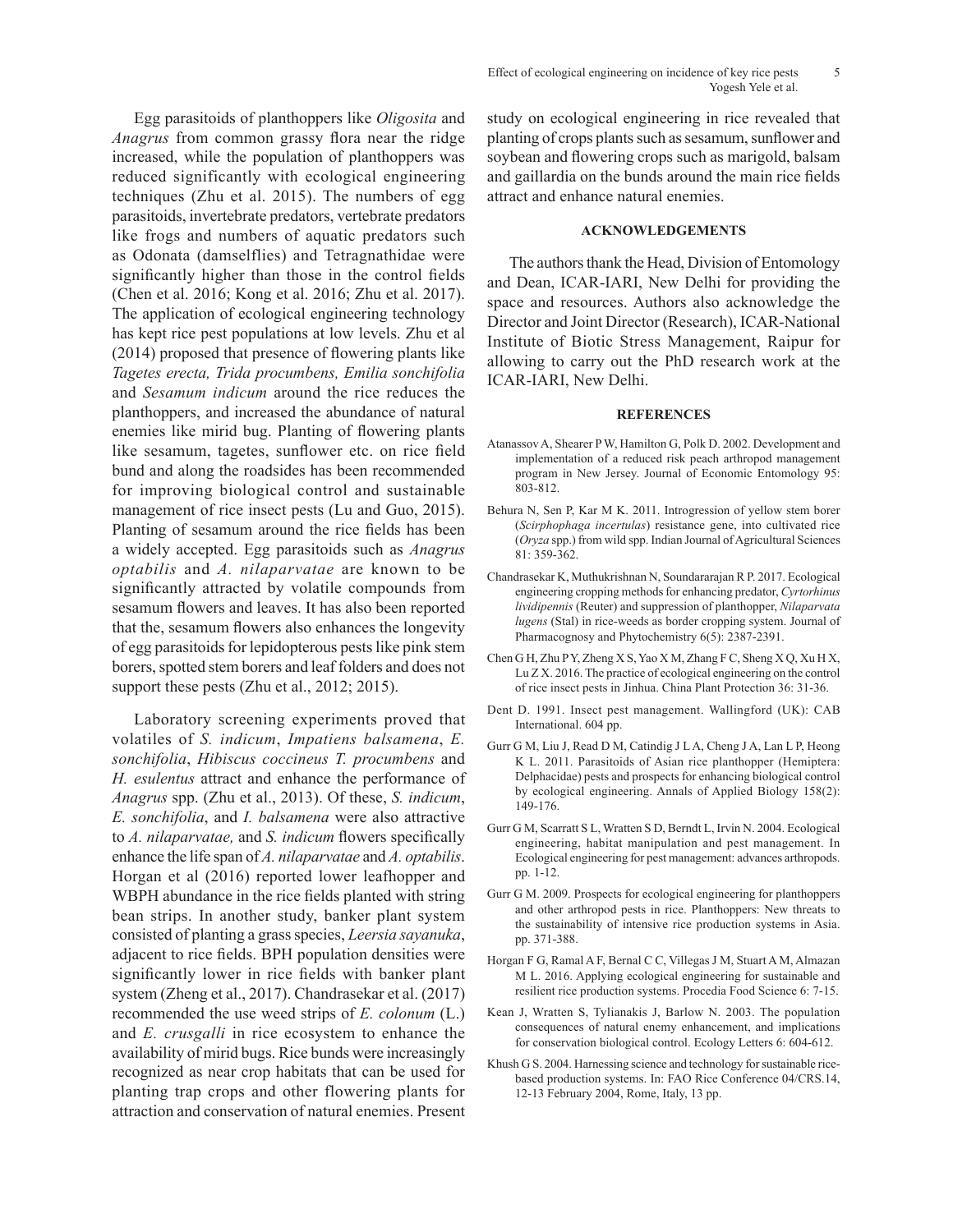Egg parasitoids of planthoppers like *Oligosita* and *Anagrus* from common grassy flora near the ridge increased, while the population of planthoppers was reduced significantly with ecological engineering techniques (Zhu et al. 2015). The numbers of egg parasitoids, invertebrate predators, vertebrate predators like frogs and numbers of aquatic predators such as Odonata (damselflies) and Tetragnathidae were significantly higher than those in the control fields (Chen et al. 2016; Kong et al. 2016; Zhu et al. 2017). The application of ecological engineering technology has kept rice pest populations at low levels. Zhu et al (2014) proposed that presence of flowering plants like *Tagetes erecta, Trida procumbens, Emilia sonchifolia* and *Sesamum indicum* around the rice reduces the planthoppers, and increased the abundance of natural enemies like mirid bug. Planting of flowering plants like sesamum, tagetes, sunflower etc. on rice field bund and along the roadsides has been recommended for improving biological control and sustainable management of rice insect pests (Lu and Guo, 2015). Planting of sesamum around the rice fields has been a widely accepted. Egg parasitoids such as *Anagrus optabilis* and *A. nilaparvatae* are known to be significantly attracted by volatile compounds from sesamum flowers and leaves. It has also been reported that the, sesamum flowers also enhances the longevity of egg parasitoids for lepidopterous pests like pink stem borers, spotted stem borers and leaf folders and does not support these pests (Zhu et al., 2012; 2015).

Laboratory screening experiments proved that volatiles of *S. indicum*, *Impatiens balsamena*, *E. sonchifolia*, *Hibiscus coccineus T. procumbens* and *H. esulentus* attract and enhance the performance of *Anagrus* spp. (Zhu et al., 2013). Of these, *S. indicum*, *E. sonchifolia*, and *I. balsamena* were also attractive to *A. nilaparvatae,* and *S. indicum* flowers specifically enhance the life span of *A. nilaparvatae* and *A. optabilis*. Horgan et al (2016) reported lower leafhopper and WBPH abundance in the rice fields planted with string bean strips. In another study, banker plant system consisted of planting a grass species, *Leersia sayanuka*, adjacent to rice fields. BPH population densities were significantly lower in rice fields with banker plant system (Zheng et al., 2017). Chandrasekar et al. (2017) recommended the use weed strips of *E. colonum* (L.) and *E. crusgalli* in rice ecosystem to enhance the availability of mirid bugs. Rice bunds were increasingly recognized as near crop habitats that can be used for planting trap crops and other flowering plants for attraction and conservation of natural enemies. Present study on ecological engineering in rice revealed that planting of crops plants such as sesamum, sunflower and soybean and flowering crops such as marigold, balsam and gaillardia on the bunds around the main rice fields attract and enhance natural enemies.

## **ACKNOWLEDGEMENTS**

The authors thank the Head, Division of Entomology and Dean, ICAR-IARI, New Delhi for providing the space and resources. Authors also acknowledge the Director and Joint Director (Research), ICAR-National Institute of Biotic Stress Management, Raipur for allowing to carry out the PhD research work at the ICAR-IARI, New Delhi.

#### **REFERENCES**

- Atanassov A, Shearer P W, Hamilton G, Polk D. 2002. Development and implementation of a reduced risk peach arthropod management program in New Jersey. Journal of Economic Entomology 95: 803-812.
- Behura N, Sen P, Kar M K. 2011. Introgression of yellow stem borer (*Scirphophaga incertulas*) resistance gene, into cultivated rice (*Oryza* spp.) from wild spp. Indian Journal of Agricultural Sciences 81: 359-362.
- Chandrasekar K, Muthukrishnan N, Soundararajan R P. 2017. Ecological engineering cropping methods for enhancing predator, *Cyrtorhinus lividipennis* (Reuter) and suppression of planthopper, *Nilaparvata lugens* (Stal) in rice-weeds as border cropping system. Journal of Pharmacognosy and Phytochemistry 6(5): 2387-2391.
- Chen G H, Zhu P Y, Zheng X S, Yao X M, Zhang F C, Sheng X Q, Xu H X, Lu Z X. 2016. The practice of ecological engineering on the control of rice insect pests in Jinhua. China Plant Protection 36: 31-36.
- Dent D. 1991. Insect pest management. Wallingford (UK): CAB International. 604 pp.
- Gurr G M, Liu J, Read D M, Catindig J L A, Cheng J A, Lan L P, Heong K L. 2011. Parasitoids of Asian rice planthopper (Hemiptera: Delphacidae) pests and prospects for enhancing biological control by ecological engineering. Annals of Applied Biology 158(2): 149-176.
- Gurr G M, Scarratt S L, Wratten S D, Berndt L, Irvin N. 2004. Ecological engineering, habitat manipulation and pest management. In Ecological engineering for pest management: advances arthropods. pp. 1-12.
- Gurr G M. 2009. Prospects for ecological engineering for planthoppers and other arthropod pests in rice. Planthoppers: New threats to the sustainability of intensive rice production systems in Asia. pp. 371-388.
- Horgan F G, Ramal A F, Bernal C C, Villegas J M, Stuart A M, Almazan M L. 2016. Applying ecological engineering for sustainable and resilient rice production systems. Procedia Food Science 6: 7-15.
- Kean J, Wratten S, Tylianakis J, Barlow N. 2003. The population consequences of natural enemy enhancement, and implications for conservation biological control. Ecology Letters 6: 604-612.
- Khush G S. 2004. Harnessing science and technology for sustainable ricebased production systems. In: FAO Rice Conference 04/CRS.14, 12-13 February 2004, Rome, Italy, 13 pp.